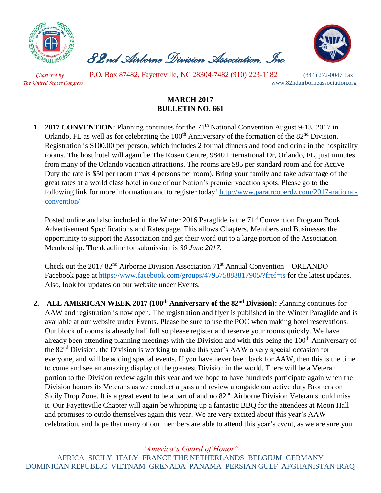

 *82nd Airborne Division Association, Inc.* 



 *Chartered by* P.O. Box 87482, Fayetteville, NC 28304-7482 (910) 223-1182 (844) 272-0047 Fax *The United States Congress* www.82ndairborneassociation.org

## **MARCH 2017 BULLETIN NO. 661**

**1. 2017 CONVENTION**: Planning continues for the 71<sup>th</sup> National Convention August 9-13, 2017 in Orlando, FL as well as for celebrating the 100<sup>th</sup> Anniversary of the formation of the 82<sup>nd</sup> Division. Registration is \$100.00 per person, which includes 2 formal dinners and food and drink in the hospitality rooms. The host hotel will again be The Rosen Centre, 9840 International Dr, Orlando, FL, just minutes from many of the Orlando vacation attractions. The rooms are \$85 per standard room and for Active Duty the rate is \$50 per room (max 4 persons per room). Bring your family and take advantage of the great rates at a world class hotel in one of our Nation's premier vacation spots. Please go to the following link for more information and to register today! [http://www.paratrooperdz.com/2017-national](http://www.paratrooperdz.com/2017-national-convention/)[convention/](http://www.paratrooperdz.com/2017-national-convention/)

Posted online and also included in the Winter 2016 Paraglide is the 71<sup>st</sup> Convention Program Book Advertisement Specifications and Rates page. This allows Chapters, Members and Businesses the opportunity to support the Association and get their word out to a large portion of the Association Membership. The deadline for submission is *30 June 2017.*

Check out the 2017  $82<sup>nd</sup>$  Airborne Division Association 71<sup>st</sup> Annual Convention – ORLANDO Facebook page at<https://www.facebook.com/groups/479575888817905/?fref=ts> for the latest updates. Also, look for updates on our website under Events.

**2. ALL AMERICAN WEEK 2017 (100th Anniversary of the 82nd Division):** Planning continues for AAW and registration is now open. The registration and flyer is published in the Winter Paraglide and is available at our website under Events. Please be sure to use the POC when making hotel reservations. Our block of rooms is already half full so please register and reserve your rooms quickly. We have already been attending planning meetings with the Division and with this being the 100<sup>th</sup> Anniversary of the 82nd Division, the Division is working to make this year's AAW a very special occasion for everyone, and will be adding special events. If you have never been back for AAW, then this is the time to come and see an amazing display of the greatest Division in the world. There will be a Veteran portion to the Division review again this year and we hope to have hundreds participate again when the Division honors its Veterans as we conduct a pass and review alongside our active duty Brothers on Sicily Drop Zone. It is a great event to be a part of and no  $82<sup>nd</sup>$  Airborne Division Veteran should miss it. Our Fayetteville Chapter will again be whipping up a fantastic BBQ for the attendees at Moon Hall and promises to outdo themselves again this year. We are very excited about this year's AAW celebration, and hope that many of our members are able to attend this year's event, as we are sure you

*"America's Guard of Honor"*

AFRICA SICILY ITALY FRANCE THE NETHERLANDS BELGIUM GERMANY DOMINICAN REPUBLIC VIETNAM GRENADA PANAMA PERSIAN GULF AFGHANISTAN IRAQ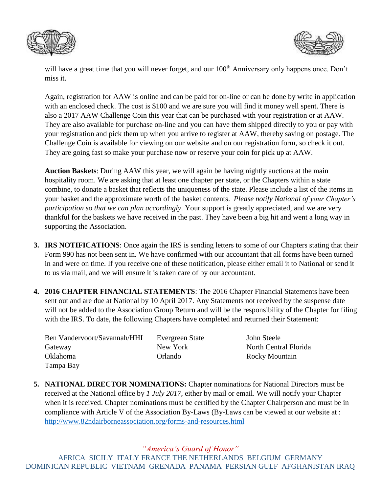



will have a great time that you will never forget, and our 100<sup>th</sup> Anniversary only happens once. Don't miss it.

Again, registration for AAW is online and can be paid for on-line or can be done by write in application with an enclosed check. The cost is \$100 and we are sure you will find it money well spent. There is also a 2017 AAW Challenge Coin this year that can be purchased with your registration or at AAW. They are also available for purchase on-line and you can have them shipped directly to you or pay with your registration and pick them up when you arrive to register at AAW, thereby saving on postage. The Challenge Coin is available for viewing on our website and on our registration form, so check it out. They are going fast so make your purchase now or reserve your coin for pick up at AAW.

**Auction Baskets**: During AAW this year, we will again be having nightly auctions at the main hospitality room. We are asking that at least one chapter per state, or the Chapters within a state combine, to donate a basket that reflects the uniqueness of the state. Please include a list of the items in your basket and the approximate worth of the basket contents. *Please notify National of your Chapter's participation so that we can plan accordingly*. Your support is greatly appreciated, and we are very thankful for the baskets we have received in the past. They have been a big hit and went a long way in supporting the Association.

- **3. IRS NOTIFICATIONS**: Once again the IRS is sending letters to some of our Chapters stating that their Form 990 has not been sent in. We have confirmed with our accountant that all forms have been turned in and were on time. If you receive one of these notification, please either email it to National or send it to us via mail, and we will ensure it is taken care of by our accountant.
- **4. 2016 CHAPTER FINANCIAL STATEMENTS**: The 2016 Chapter Financial Statements have been sent out and are due at National by 10 April 2017. Any Statements not received by the suspense date will not be added to the Association Group Return and will be the responsibility of the Chapter for filing with the IRS. To date, the following Chapters have completed and returned their Statement:

| Ben Vandervoort/Savannah/HHI | Evergreen |
|------------------------------|-----------|
| Gateway                      | New York  |
| Oklahoma                     | Orlando   |
| Tampa Bay                    |           |

State John Steele North Central Florida Rocky Mountain

**5. NATIONAL DIRECTOR NOMINATIONS:** Chapter nominations for National Directors must be received at the National office by *1 July 2017*, either by mail or email. We will notify your Chapter when it is received. Chapter nominations must be certified by the Chapter Chairperson and must be in compliance with Article V of the Association By-Laws (By-Laws can be viewed at our website at : <http://www.82ndairborneassociation.org/forms-and-resources.html>

*"America's Guard of Honor"*

AFRICA SICILY ITALY FRANCE THE NETHERLANDS BELGIUM GERMANY DOMINICAN REPUBLIC VIETNAM GRENADA PANAMA PERSIAN GULF AFGHANISTAN IRAQ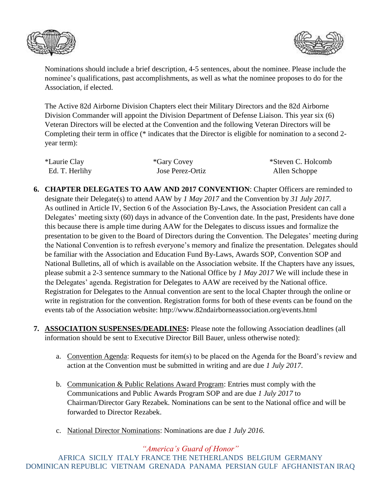



Nominations should include a brief description, 4-5 sentences, about the nominee. Please include the nominee's qualifications, past accomplishments, as well as what the nominee proposes to do for the Association, if elected.

The Active 82d Airborne Division Chapters elect their Military Directors and the 82d Airborne Division Commander will appoint the Division Department of Defense Liaison. This year six (6) Veteran Directors will be elected at the Convention and the following Veteran Directors will be Completing their term in office (\* indicates that the Director is eligible for nomination to a second 2 year term):

| <i>*Laurie Clay</i> | *Gary Covey      | *Steven C. Holcomb |
|---------------------|------------------|--------------------|
| Ed. T. Herlihy      | Jose Perez-Ortiz | Allen Schoppe      |

- **6. CHAPTER DELEGATES TO AAW AND 2017 CONVENTION**: Chapter Officers are reminded to designate their Delegate(s) to attend AAW by *1 May 2017* and the Convention by *31 July 2017*. As outlined in Article IV, Section 6 of the Association By-Laws, the Association President can call a Delegates' meeting sixty (60) days in advance of the Convention date. In the past, Presidents have done this because there is ample time during AAW for the Delegates to discuss issues and formalize the presentation to be given to the Board of Directors during the Convention. The Delegates' meeting during the National Convention is to refresh everyone's memory and finalize the presentation. Delegates should be familiar with the Association and Education Fund By-Laws, Awards SOP, Convention SOP and National Bulletins, all of which is available on the Association website. If the Chapters have any issues, please submit a 2-3 sentence summary to the National Office by *1 May 2017* We will include these in the Delegates' agenda. Registration for Delegates to AAW are received by the National office. Registration for Delegates to the Annual convention are sent to the local Chapter through the online or write in registration for the convention. Registration forms for both of these events can be found on the events tab of the Association website: http://www.82ndairborneassociation.org/events.html
- **7. ASSOCIATION SUSPENSES/DEADLINES:** Please note the following Association deadlines (all information should be sent to Executive Director Bill Bauer, unless otherwise noted):
	- a. Convention Agenda: Requests for item(s) to be placed on the Agenda for the Board's review and action at the Convention must be submitted in writing and are due *1 July 2017*.
	- b. Communication & Public Relations Award Program: Entries must comply with the Communications and Public Awards Program SOP and are due *1 July 2017* to Chairman/Director Gary Rezabek. Nominations can be sent to the National office and will be forwarded to Director Rezabek.
	- c. National Director Nominations: Nominations are due *1 July 2016*.

*"America's Guard of Honor"* AFRICA SICILY ITALY FRANCE THE NETHERLANDS BELGIUM GERMANY DOMINICAN REPUBLIC VIETNAM GRENADA PANAMA PERSIAN GULF AFGHANISTAN IRAQ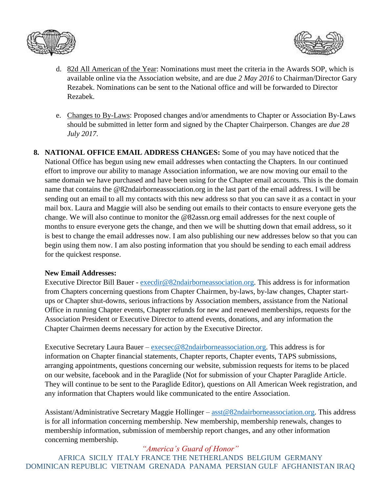



- d. 82d All American of the Year: Nominations must meet the criteria in the Awards SOP, which is available online via the Association website, and are due *2 May 2016* to Chairman/Director Gary Rezabek. Nominations can be sent to the National office and will be forwarded to Director Rezabek.
- e. Changes to By-Laws: Proposed changes and/or amendments to Chapter or Association By-Laws should be submitted in letter form and signed by the Chapter Chairperson. Changes are *due 28 July 2017*.
- **8. NATIONAL OFFICE EMAIL ADDRESS CHANGES:** Some of you may have noticed that the National Office has begun using new email addresses when contacting the Chapters. In our continued effort to improve our ability to manage Association information, we are now moving our email to the same domain we have purchased and have been using for the Chapter email accounts. This is the domain name that contains the @82ndairborneassociation.org in the last part of the email address. I will be sending out an email to all my contacts with this new address so that you can save it as a contact in your mail box. Laura and Maggie will also be sending out emails to their contacts to ensure everyone gets the change. We will also continue to monitor the @82assn.org email addresses for the next couple of months to ensure everyone gets the change, and then we will be shutting down that email address, so it is best to change the email addresses now. I am also publishing our new addresses below so that you can begin using them now. I am also posting information that you should be sending to each email address for the quickest response.

## **New Email Addresses:**

Executive Director Bill Bauer - [execdir@82ndairborneassociation.org.](mailto:execdir@82ndairborneassociation.org) This address is for information from Chapters concerning questions from Chapter Chairmen, by-laws, by-law changes, Chapter startups or Chapter shut-downs, serious infractions by Association members, assistance from the National Office in running Chapter events, Chapter refunds for new and renewed memberships, requests for the Association President or Executive Director to attend events, donations, and any information the Chapter Chairmen deems necessary for action by the Executive Director.

Executive Secretary Laura Bauer – [execsec@82ndairborneassociation.org.](mailto:execsec@82ndairborneassociation.org) This address is for information on Chapter financial statements, Chapter reports, Chapter events, TAPS submissions, arranging appointments, questions concerning our website, submission requests for items to be placed on our website, facebook and in the Paraglide (Not for submission of your Chapter Paraglide Article. They will continue to be sent to the Paraglide Editor), questions on All American Week registration, and any information that Chapters would like communicated to the entire Association.

Assistant/Administrative Secretary Maggie Hollinger – [asst@82ndairborneassociation.org.](mailto:asst@82ndairborneassociation.org) This address is for all information concerning membership. New membership, membership renewals, changes to membership information, submission of membership report changes, and any other information concerning membership.

*"America's Guard of Honor"* AFRICA SICILY ITALY FRANCE THE NETHERLANDS BELGIUM GERMANY DOMINICAN REPUBLIC VIETNAM GRENADA PANAMA PERSIAN GULF AFGHANISTAN IRAQ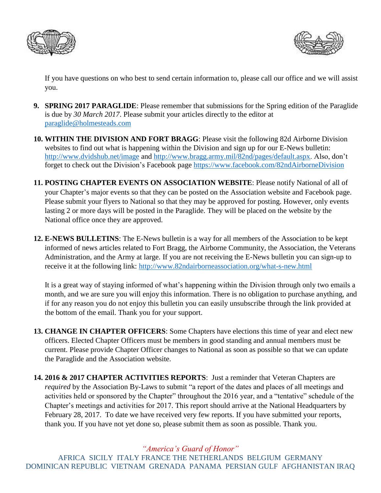



If you have questions on who best to send certain information to, please call our office and we will assist you.

- **9. SPRING 2017 PARAGLIDE**: Please remember that submissions for the Spring edition of the Paraglide is due by *30 March 2017*. Please submit your articles directly to the editor at [paraglide@holmesteads.com](mailto:paraglide@holmesteads.com)
- **10. WITHIN THE DIVISION AND FORT BRAGG**: Please visit the following 82d Airborne Division websites to find out what is happening within the Division and sign up for our E-News bulletin: <http://www.dvidshub.net/image> and [http://www.bragg.army.mil/82nd/pages/default.aspx.](http://www.bragg.army.mil/82ND/Pages/default.aspx) Also, don't forget to check out the Division's Facebook page<https://www.facebook.com/82ndAirborneDivision>
- **11. POSTING CHAPTER EVENTS ON ASSOCIATION WEBSITE**: Please notify National of all of your Chapter's major events so that they can be posted on the Association website and Facebook page. Please submit your flyers to National so that they may be approved for posting. However, only events lasting 2 or more days will be posted in the Paraglide. They will be placed on the website by the National office once they are approved.
- **12. E-NEWS BULLETINS**: The E-News bulletin is a way for all members of the Association to be kept informed of news articles related to Fort Bragg, the Airborne Community, the Association, the Veterans Administration, and the Army at large. If you are not receiving the E-News bulletin you can sign-up to receive it at the following link:<http://www.82ndairborneassociation.org/what-s-new.html>

It is a great way of staying informed of what's happening within the Division through only two emails a month, and we are sure you will enjoy this information. There is no obligation to purchase anything, and if for any reason you do not enjoy this bulletin you can easily unsubscribe through the link provided at the bottom of the email. Thank you for your support.

- **13. CHANGE IN CHAPTER OFFICERS**: Some Chapters have elections this time of year and elect new officers. Elected Chapter Officers must be members in good standing and annual members must be current. Please provide Chapter Officer changes to National as soon as possible so that we can update the Paraglide and the Association website.
- **14. 2016 & 2017 CHAPTER ACTIVITIES REPORTS**: Just a reminder that Veteran Chapters are *required* by the Association By-Laws to submit "a report of the dates and places of all meetings and activities held or sponsored by the Chapter" throughout the 2016 year, and a "tentative" schedule of the Chapter's meetings and activities for 2017. This report should arrive at the National Headquarters by February 28, 2017. To date we have received very few reports. If you have submitted your reports, thank you. If you have not yet done so, please submit them as soon as possible. Thank you.

*"America's Guard of Honor"*

AFRICA SICILY ITALY FRANCE THE NETHERLANDS BELGIUM GERMANY DOMINICAN REPUBLIC VIETNAM GRENADA PANAMA PERSIAN GULF AFGHANISTAN IRAQ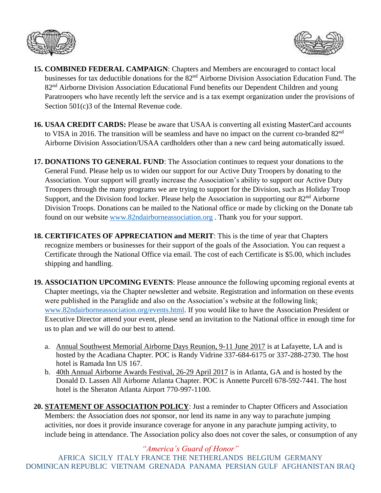



- **15. COMBINED FEDERAL CAMPAIGN**: Chapters and Members are encouraged to contact local businesses for tax deductible donations for the 82<sup>nd</sup> Airborne Division Association Education Fund. The 82<sup>nd</sup> Airborne Division Association Educational Fund benefits our Dependent Children and young Paratroopers who have recently left the service and is a tax exempt organization under the provisions of Section 501(c)3 of the Internal Revenue code.
- **16. USAA CREDIT CARDS:** Please be aware that USAA is converting all existing MasterCard accounts to VISA in 2016. The transition will be seamless and have no impact on the current co-branded 82<sup>nd</sup> Airborne Division Association/USAA cardholders other than a new card being automatically issued.
- **17. DONATIONS TO GENERAL FUND**: The Association continues to request your donations to the General Fund. Please help us to widen our support for our Active Duty Troopers by donating to the Association. Your support will greatly increase the Association's ability to support our Active Duty Troopers through the many programs we are trying to support for the Division, such as Holiday Troop Support, and the Division food locker. Please help the Association in supporting our 82<sup>nd</sup> Airborne Division Troops. Donations can be mailed to the National office or made by clicking on the Donate tab found on our website [www.82ndairborneassociation.org](http://www.82ndairborneassociation.org/) . Thank you for your support.
- **18. CERTIFICATES OF APPRECIATION and MERIT**: This is the time of year that Chapters recognize members or businesses for their support of the goals of the Association. You can request a Certificate through the National Office via email. The cost of each Certificate is \$5.00, which includes shipping and handling.
- **19. ASSOCIATION UPCOMING EVENTS**: Please announce the following upcoming regional events at Chapter meetings, via the Chapter newsletter and website. Registration and information on these events were published in the Paraglide and also on the Association's website at the following link: [www.82ndairborneassociation.org/events.html.](http://www.82ndairborneassociation.org/events.html) If you would like to have the Association President or Executive Director attend your event, please send an invitation to the National office in enough time for us to plan and we will do our best to attend.
	- a. Annual Southwest Memorial Airborne Days Reunion, 9-11 June 2017 is at Lafayette, LA and is hosted by the Acadiana Chapter. POC is Randy Vidrine 337-684-6175 or 337-288-2730. The host hotel is Ramada Inn US 167.
	- b. 40th Annual Airborne Awards Festival, 26-29 April 2017 is in Atlanta, GA and is hosted by the Donald D. Lassen All Airborne Atlanta Chapter. POC is Annette Purcell 678-592-7441. The host hotel is the Sheraton Atlanta Airport 770-997-1100.
- **20. STATEMENT OF ASSOCIATION POLICY**: Just a reminder to Chapter Officers and Association Members: the Association does *not* sponsor, nor lend its name in any way to parachute jumping activities, nor does it provide insurance coverage for anyone in any parachute jumping activity, to include being in attendance. The Association policy also does not cover the sales, or consumption of any

*"America's Guard of Honor"* AFRICA SICILY ITALY FRANCE THE NETHERLANDS BELGIUM GERMANY DOMINICAN REPUBLIC VIETNAM GRENADA PANAMA PERSIAN GULF AFGHANISTAN IRAQ